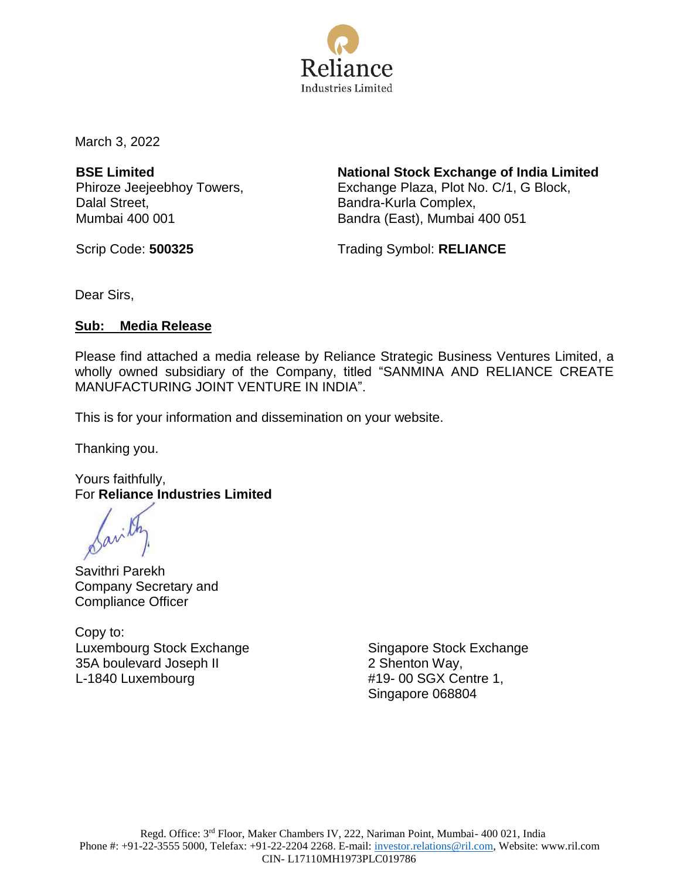

March 3, 2022

**BSE Limited** Phiroze Jeejeebhoy Towers, Dalal Street, Mumbai 400 001

**National Stock Exchange of India Limited** Exchange Plaza, Plot No. C/1, G Block, Bandra-Kurla Complex, Bandra (East), Mumbai 400 051

Scrip Code: **500325** Trading Symbol: **RELIANCE** 

Dear Sirs,

#### **Sub: Media Release**

Please find attached a media release by Reliance Strategic Business Ventures Limited, a wholly owned subsidiary of the Company, titled "SANMINA AND RELIANCE CREATE MANUFACTURING JOINT VENTURE IN INDIA".

This is for your information and dissemination on your website.

Thanking you.

Yours faithfully, For **Reliance Industries Limited**

Savithri Parekh Company Secretary and Compliance Officer

Copy to: Luxembourg Stock Exchange 35A boulevard Joseph II L-1840 Luxembourg

Singapore Stock Exchange 2 Shenton Way, #19- 00 SGX Centre 1, Singapore 068804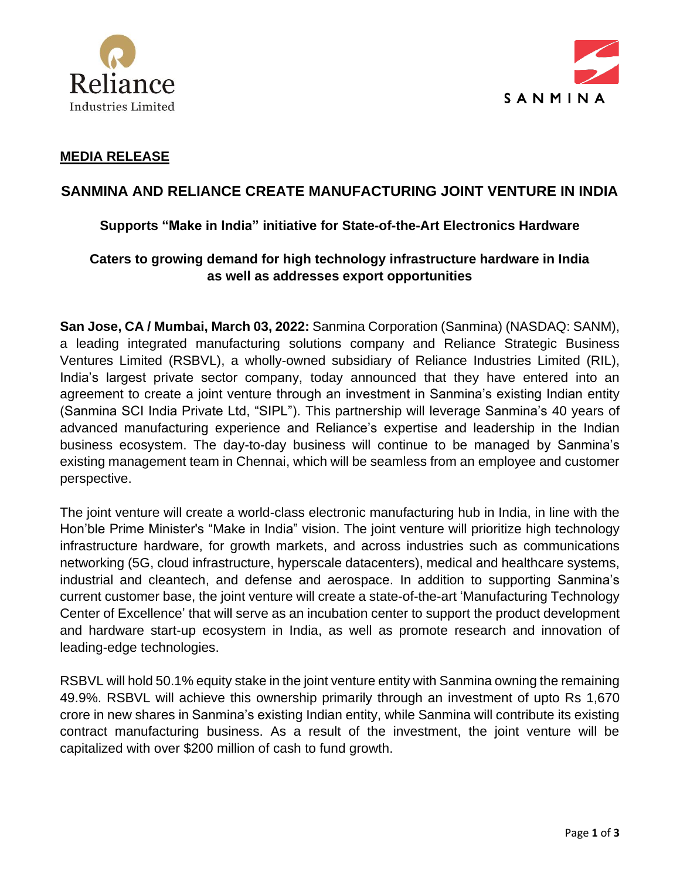



#### **MEDIA RELEASE**

# **SANMINA AND RELIANCE CREATE MANUFACTURING JOINT VENTURE IN INDIA**

#### **Supports "Make in India" initiative for State-of-the-Art Electronics Hardware**

# **Caters to growing demand for high technology infrastructure hardware in India as well as addresses export opportunities**

**San Jose, CA / Mumbai, March 03, 2022:** Sanmina Corporation (Sanmina) (NASDAQ: SANM), a leading integrated manufacturing solutions company and Reliance Strategic Business Ventures Limited (RSBVL), a wholly-owned subsidiary of Reliance Industries Limited (RIL), India's largest private sector company, today announced that they have entered into an agreement to create a joint venture through an investment in Sanmina's existing Indian entity (Sanmina SCI India Private Ltd, "SIPL"). This partnership will leverage Sanmina's 40 years of advanced manufacturing experience and Reliance's expertise and leadership in the Indian business ecosystem. The day-to-day business will continue to be managed by Sanmina's existing management team in Chennai, which will be seamless from an employee and customer perspective.

The joint venture will create a world-class electronic manufacturing hub in India, in line with the Hon'ble Prime Minister's "Make in India" vision. The joint venture will prioritize high technology infrastructure hardware, for growth markets, and across industries such as communications networking (5G, cloud infrastructure, hyperscale datacenters), medical and healthcare systems, industrial and cleantech, and defense and aerospace. In addition to supporting Sanmina's current customer base, the joint venture will create a state-of-the-art 'Manufacturing Technology Center of Excellence' that will serve as an incubation center to support the product development and hardware start-up ecosystem in India, as well as promote research and innovation of leading-edge technologies.

RSBVL will hold 50.1% equity stake in the joint venture entity with Sanmina owning the remaining 49.9%. RSBVL will achieve this ownership primarily through an investment of upto Rs 1,670 crore in new shares in Sanmina's existing Indian entity, while Sanmina will contribute its existing contract manufacturing business. As a result of the investment, the joint venture will be capitalized with over \$200 million of cash to fund growth.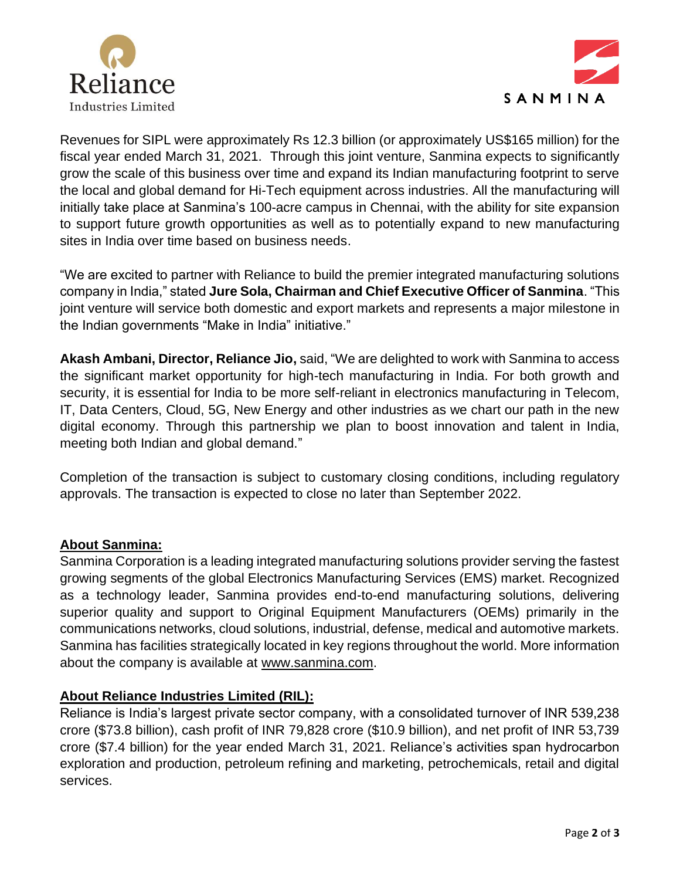



Revenues for SIPL were approximately Rs 12.3 billion (or approximately US\$165 million) for the fiscal year ended March 31, 2021. Through this joint venture, Sanmina expects to significantly grow the scale of this business over time and expand its Indian manufacturing footprint to serve the local and global demand for Hi-Tech equipment across industries. All the manufacturing will initially take place at Sanmina's 100-acre campus in Chennai, with the ability for site expansion to support future growth opportunities as well as to potentially expand to new manufacturing sites in India over time based on business needs.

"We are excited to partner with Reliance to build the premier integrated manufacturing solutions company in India," stated **Jure Sola, Chairman and Chief Executive Officer of Sanmina**. "This joint venture will service both domestic and export markets and represents a major milestone in the Indian governments "Make in India" initiative."

**Akash Ambani, Director, Reliance Jio,** said, "We are delighted to work with Sanmina to access the significant market opportunity for high-tech manufacturing in India. For both growth and security, it is essential for India to be more self-reliant in electronics manufacturing in Telecom, IT, Data Centers, Cloud, 5G, New Energy and other industries as we chart our path in the new digital economy. Through this partnership we plan to boost innovation and talent in India, meeting both Indian and global demand."

Completion of the transaction is subject to customary closing conditions, including regulatory approvals. The transaction is expected to close no later than September 2022.

# **About Sanmina:**

Sanmina Corporation is a leading integrated manufacturing solutions provider serving the fastest growing segments of the global Electronics Manufacturing Services (EMS) market. Recognized as a technology leader, Sanmina provides end-to-end manufacturing solutions, delivering superior quality and support to Original Equipment Manufacturers (OEMs) primarily in the communications networks, cloud solutions, industrial, defense, medical and automotive markets. Sanmina has facilities strategically located in key regions throughout the world. More information about the company is available at [www.sanmina.com.](http://www.sanmina.com/)

#### **About Reliance Industries Limited (RIL):**

Reliance is India's largest private sector company, with a consolidated turnover of INR 539,238 crore (\$73.8 billion), cash profit of INR 79,828 crore (\$10.9 billion), and net profit of INR 53,739 crore (\$7.4 billion) for the year ended March 31, 2021. Reliance's activities span hydrocarbon exploration and production, petroleum refining and marketing, petrochemicals, retail and digital services.